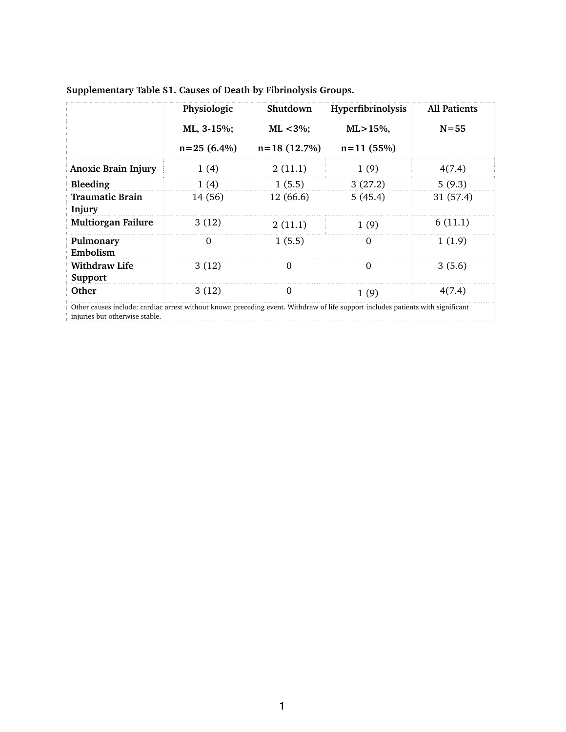|                                 | Physiologic   | Shutdown      | Hyperfibrinolysis | <b>All Patients</b> |
|---------------------------------|---------------|---------------|-------------------|---------------------|
|                                 | ML, 3-15%;    | $ML < 3\%$ ;  | $ML > 15\%,$      | $N = 55$            |
|                                 | $n=25(6.4\%)$ | $n=18(12.7%)$ | $n=11(55%)$       |                     |
| <b>Anoxic Brain Injury</b>      | 1(4)          | 2(11.1)       | 1(9)              | 4(7.4)              |
| Bleeding                        | 1(4)          | 1(5.5)        | 3(27.2)           | 5(9.3)              |
| Traumatic Brain<br>Injury       | 14 (56)       | 12 (66.6)     | 5(45.4)           | 31(57.4)            |
| <b>Multiorgan Failure</b>       | 3(12)         | 2(11.1)       | 1(9)              | 6(11.1)             |
| Pulmonary<br>Embolism           | $\Omega$      | 1(5.5)        | 0                 | 1(1.9)              |
| <b>Withdraw Life</b><br>Support | 3(12)         | $\Omega$      | $\Omega$          | 3(5.6)              |
| Other                           | 3(12)         | $\Omega$      | 1(9)              | 4(7.4)              |

## **Supplementary Table S1. Causes of Death by Fibrinolysis Groups.**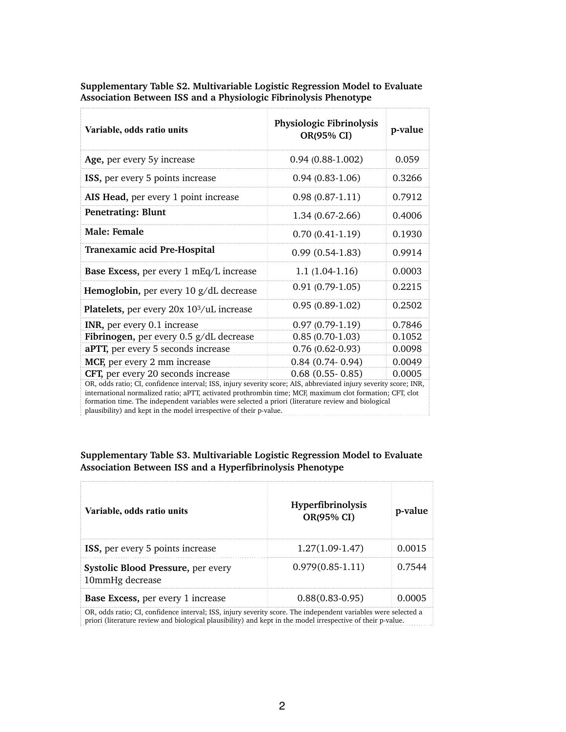| Variable, odds ratio units                                                                                                                                                                                                                                                                                                                                                                                | Physiologic Fibrinolysis<br>OR(95% CI) | p-value |  |  |
|-----------------------------------------------------------------------------------------------------------------------------------------------------------------------------------------------------------------------------------------------------------------------------------------------------------------------------------------------------------------------------------------------------------|----------------------------------------|---------|--|--|
| Age, per every 5y increase                                                                                                                                                                                                                                                                                                                                                                                | $0.94(0.88-1.002)$                     | 0.059   |  |  |
| ISS, per every 5 points increase                                                                                                                                                                                                                                                                                                                                                                          | $0.94(0.83-1.06)$                      | 0.3266  |  |  |
| AIS Head, per every 1 point increase                                                                                                                                                                                                                                                                                                                                                                      | $0.98(0.87-1.11)$                      | 0.7912  |  |  |
| <b>Penetrating: Blunt</b>                                                                                                                                                                                                                                                                                                                                                                                 | $1.34(0.67-2.66)$                      | 0.4006  |  |  |
| Male: Female                                                                                                                                                                                                                                                                                                                                                                                              | $0.70(0.41-1.19)$                      | 0.1930  |  |  |
| Tranexamic acid Pre-Hospital                                                                                                                                                                                                                                                                                                                                                                              | $0.99(0.54-1.83)$                      | 0.9914  |  |  |
| Base Excess, per every 1 mEq/L increase                                                                                                                                                                                                                                                                                                                                                                   | $1.1(1.04-1.16)$                       | 0.0003  |  |  |
| Hemoglobin, per every 10 g/dL decrease                                                                                                                                                                                                                                                                                                                                                                    | $0.91(0.79-1.05)$                      | 0.2215  |  |  |
| <b>Platelets,</b> per every 20x 10 <sup>3</sup> /uL increase                                                                                                                                                                                                                                                                                                                                              | $0.95(0.89-1.02)$                      | 0.2502  |  |  |
| <b>INR</b> , per every 0.1 increase                                                                                                                                                                                                                                                                                                                                                                       | $0.97(0.79-1.19)$                      | 0.7846  |  |  |
| <b>Fibrinogen,</b> per every $0.5$ g/dL decrease                                                                                                                                                                                                                                                                                                                                                          | $0.85(0.70-1.03)$                      | 0.1052  |  |  |
| <b>aPTT</b> , per every 5 seconds increase                                                                                                                                                                                                                                                                                                                                                                | $0.76(0.62-0.93)$                      | 0.0098  |  |  |
| MCF, per every 2 mm increase                                                                                                                                                                                                                                                                                                                                                                              | $0.84$ $(0.74 - 0.94)$                 | 0.0049  |  |  |
| <b>CFT</b> , per every 20 seconds increase                                                                                                                                                                                                                                                                                                                                                                | $0.68$ $(0.55 - 0.85)$                 | 0.0005  |  |  |
| OR, odds ratio; CI, confidence interval; ISS, injury severity score; AIS, abbreviated injury severity score; INR,<br>international normalized ratio; aPTT, activated prothrombin time; MCF, maximum clot formation; CFT, clot<br>formation time. The independent variables were selected a priori (literature review and biological<br>plausibility) and kept in the model irrespective of their p-value. |                                        |         |  |  |

**Supplementary Table S2. Multivariable Logistic Regression Model to Evaluate Association Between ISS and a Physiologic Fibrinolysis Phenotype**

ç.,

**Supplementary Table S3. Multivariable Logistic Regression Model to Evaluate Association Between ISS and a Hyperfibrinolysis Phenotype**

| Variable, odds ratio units                                                                                     | <b>Hyperfibrinolysis</b><br>OR(95% CI) | p-value |  |
|----------------------------------------------------------------------------------------------------------------|----------------------------------------|---------|--|
| <b>ISS</b> , per every 5 points increase                                                                       | $1.27(1.09-1.47)$                      | 0.0015  |  |
| <b>Systolic Blood Pressure, per every</b><br>10mmHg decrease                                                   | $0.979(0.85-1.11)$                     | 0.7544  |  |
| <b>Base Excess, per every 1 increase</b>                                                                       | $0.88(0.83-0.95)$                      |         |  |
| OR, odds ratio; CI, confidence interval; ISS, injury severity score. The independent variables were selected a |                                        |         |  |

priori (literature review and biological plausibility) and kept in the model irrespective of their p-value.